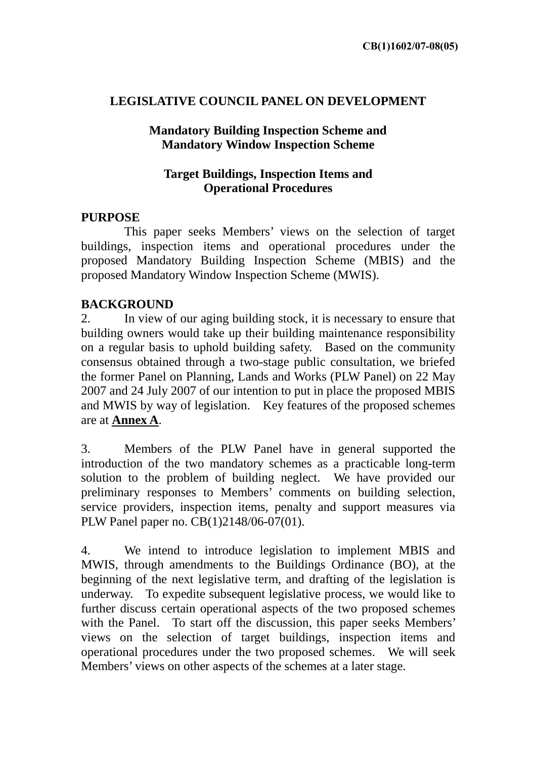## **LEGISLATIVE COUNCIL PANEL ON DEVELOPMENT**

## **Mandatory Building Inspection Scheme and Mandatory Window Inspection Scheme**

## **Target Buildings, Inspection Items and Operational Procedures**

## **PURPOSE**

 This paper seeks Members' views on the selection of target buildings, inspection items and operational procedures under the proposed Mandatory Building Inspection Scheme (MBIS) and the proposed Mandatory Window Inspection Scheme (MWIS).

## **BACKGROUND**

2. In view of our aging building stock, it is necessary to ensure that building owners would take up their building maintenance responsibility on a regular basis to uphold building safety. Based on the community consensus obtained through a two-stage public consultation, we briefed the former Panel on Planning, Lands and Works (PLW Panel) on 22 May 2007 and 24 July 2007 of our intention to put in place the proposed MBIS and MWIS by way of legislation. Key features of the proposed schemes are at **Annex A**.

3. Members of the PLW Panel have in general supported the introduction of the two mandatory schemes as a practicable long-term solution to the problem of building neglect. We have provided our preliminary responses to Members' comments on building selection, service providers, inspection items, penalty and support measures via PLW Panel paper no. CB(1)2148/06-07(01).

4. We intend to introduce legislation to implement MBIS and MWIS, through amendments to the Buildings Ordinance (BO), at the beginning of the next legislative term, and drafting of the legislation is underway. To expedite subsequent legislative process, we would like to further discuss certain operational aspects of the two proposed schemes with the Panel. To start off the discussion, this paper seeks Members' views on the selection of target buildings, inspection items and operational procedures under the two proposed schemes. We will seek Members' views on other aspects of the schemes at a later stage.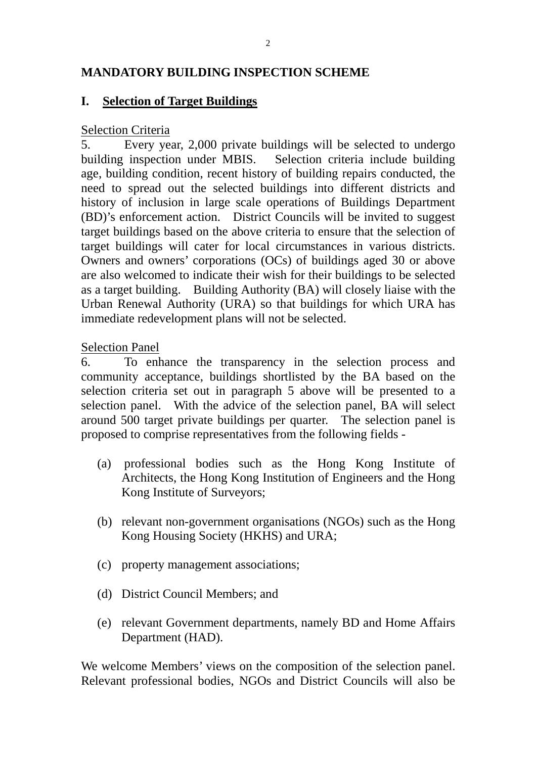## **MANDATORY BUILDING INSPECTION SCHEME**

### **I. Selection of Target Buildings**

#### Selection Criteria

5. Every year, 2,000 private buildings will be selected to undergo building inspection under MBIS. Selection criteria include building age, building condition, recent history of building repairs conducted, the need to spread out the selected buildings into different districts and history of inclusion in large scale operations of Buildings Department (BD)'s enforcement action. District Councils will be invited to suggest target buildings based on the above criteria to ensure that the selection of target buildings will cater for local circumstances in various districts. Owners and owners' corporations (OCs) of buildings aged 30 or above are also welcomed to indicate their wish for their buildings to be selected as a target building. Building Authority (BA) will closely liaise with the Urban Renewal Authority (URA) so that buildings for which URA has immediate redevelopment plans will not be selected.

#### Selection Panel

6. To enhance the transparency in the selection process and community acceptance, buildings shortlisted by the BA based on the selection criteria set out in paragraph 5 above will be presented to a selection panel. With the advice of the selection panel, BA will select around 500 target private buildings per quarter. The selection panel is proposed to comprise representatives from the following fields -

- (a) professional bodies such as the Hong Kong Institute of Architects, the Hong Kong Institution of Engineers and the Hong Kong Institute of Surveyors;
- (b) relevant non-government organisations (NGOs) such as the Hong Kong Housing Society (HKHS) and URA;
- (c) property management associations;
- (d) District Council Members; and
- (e) relevant Government departments, namely BD and Home Affairs Department (HAD).

We welcome Members' views on the composition of the selection panel. Relevant professional bodies, NGOs and District Councils will also be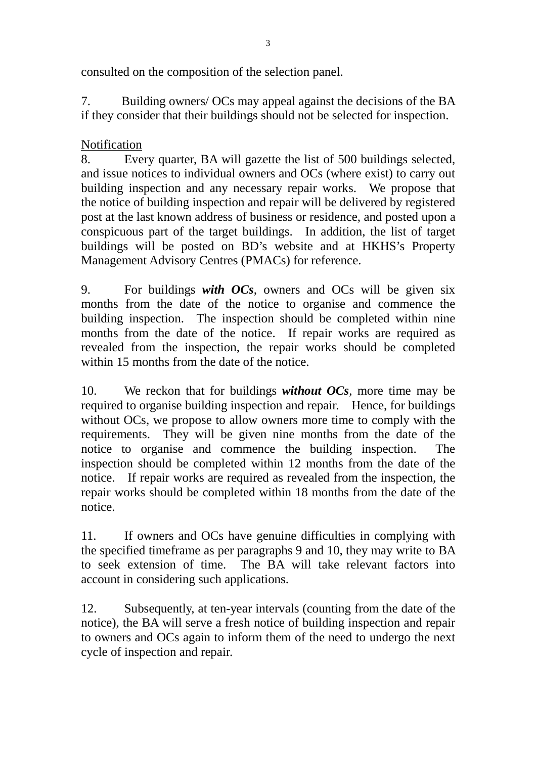consulted on the composition of the selection panel.

7. Building owners/ OCs may appeal against the decisions of the BA if they consider that their buildings should not be selected for inspection.

## Notification

8. Every quarter, BA will gazette the list of 500 buildings selected, and issue notices to individual owners and OCs (where exist) to carry out building inspection and any necessary repair works. We propose that the notice of building inspection and repair will be delivered by registered post at the last known address of business or residence, and posted upon a conspicuous part of the target buildings. In addition, the list of target buildings will be posted on BD's website and at HKHS's Property Management Advisory Centres (PMACs) for reference.

9. For buildings *with OCs*, owners and OCs will be given six months from the date of the notice to organise and commence the building inspection. The inspection should be completed within nine months from the date of the notice. If repair works are required as revealed from the inspection, the repair works should be completed within 15 months from the date of the notice.

10. We reckon that for buildings *without OCs*, more time may be required to organise building inspection and repair. Hence, for buildings without OCs, we propose to allow owners more time to comply with the requirements. They will be given nine months from the date of the notice to organise and commence the building inspection. The inspection should be completed within 12 months from the date of the notice. If repair works are required as revealed from the inspection, the repair works should be completed within 18 months from the date of the notice.

11. If owners and OCs have genuine difficulties in complying with the specified timeframe as per paragraphs 9 and 10, they may write to BA to seek extension of time. The BA will take relevant factors into account in considering such applications.

12. Subsequently, at ten-year intervals (counting from the date of the notice), the BA will serve a fresh notice of building inspection and repair to owners and OCs again to inform them of the need to undergo the next cycle of inspection and repair.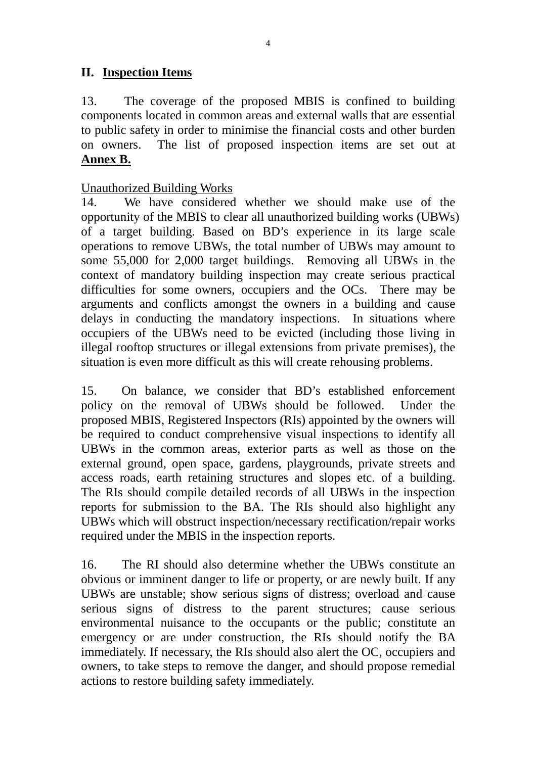## **II. Inspection Items**

13. The coverage of the proposed MBIS is confined to building components located in common areas and external walls that are essential to public safety in order to minimise the financial costs and other burden on owners. The list of proposed inspection items are set out at **Annex B.**

#### Unauthorized Building Works

14. We have considered whether we should make use of the opportunity of the MBIS to clear all unauthorized building works (UBWs) of a target building. Based on BD's experience in its large scale operations to remove UBWs, the total number of UBWs may amount to some 55,000 for 2,000 target buildings. Removing all UBWs in the context of mandatory building inspection may create serious practical difficulties for some owners, occupiers and the OCs. There may be arguments and conflicts amongst the owners in a building and cause delays in conducting the mandatory inspections. In situations where occupiers of the UBWs need to be evicted (including those living in illegal rooftop structures or illegal extensions from private premises), the situation is even more difficult as this will create rehousing problems.

15. On balance, we consider that BD's established enforcement policy on the removal of UBWs should be followed. Under the proposed MBIS, Registered Inspectors (RIs) appointed by the owners will be required to conduct comprehensive visual inspections to identify all UBWs in the common areas, exterior parts as well as those on the external ground, open space, gardens, playgrounds, private streets and access roads, earth retaining structures and slopes etc. of a building. The RIs should compile detailed records of all UBWs in the inspection reports for submission to the BA. The RIs should also highlight any UBWs which will obstruct inspection/necessary rectification/repair works required under the MBIS in the inspection reports.

16. The RI should also determine whether the UBWs constitute an obvious or imminent danger to life or property, or are newly built. If any UBWs are unstable; show serious signs of distress; overload and cause serious signs of distress to the parent structures; cause serious environmental nuisance to the occupants or the public; constitute an emergency or are under construction, the RIs should notify the BA immediately. If necessary, the RIs should also alert the OC, occupiers and owners, to take steps to remove the danger, and should propose remedial actions to restore building safety immediately.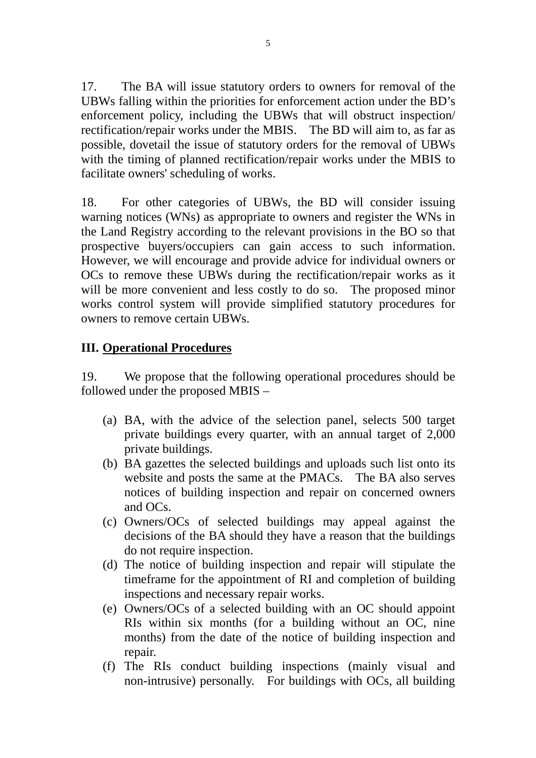17. The BA will issue statutory orders to owners for removal of the UBWs falling within the priorities for enforcement action under the BD's enforcement policy, including the UBWs that will obstruct inspection/ rectification/repair works under the MBIS. The BD will aim to, as far as possible, dovetail the issue of statutory orders for the removal of UBWs with the timing of planned rectification/repair works under the MBIS to facilitate owners' scheduling of works.

18. For other categories of UBWs, the BD will consider issuing warning notices (WNs) as appropriate to owners and register the WNs in the Land Registry according to the relevant provisions in the BO so that prospective buyers/occupiers can gain access to such information. However, we will encourage and provide advice for individual owners or OCs to remove these UBWs during the rectification/repair works as it will be more convenient and less costly to do so. The proposed minor works control system will provide simplified statutory procedures for owners to remove certain UBWs.

## **III. Operational Procedures**

19. We propose that the following operational procedures should be followed under the proposed MBIS –

- (a) BA, with the advice of the selection panel, selects 500 target private buildings every quarter, with an annual target of 2,000 private buildings.
- (b) BA gazettes the selected buildings and uploads such list onto its website and posts the same at the PMACs. The BA also serves notices of building inspection and repair on concerned owners and OCs.
- (c) Owners/OCs of selected buildings may appeal against the decisions of the BA should they have a reason that the buildings do not require inspection.
- (d) The notice of building inspection and repair will stipulate the timeframe for the appointment of RI and completion of building inspections and necessary repair works.
- (e) Owners/OCs of a selected building with an OC should appoint RIs within six months (for a building without an OC, nine months) from the date of the notice of building inspection and repair.
- (f) The RIs conduct building inspections (mainly visual and non-intrusive) personally. For buildings with OCs, all building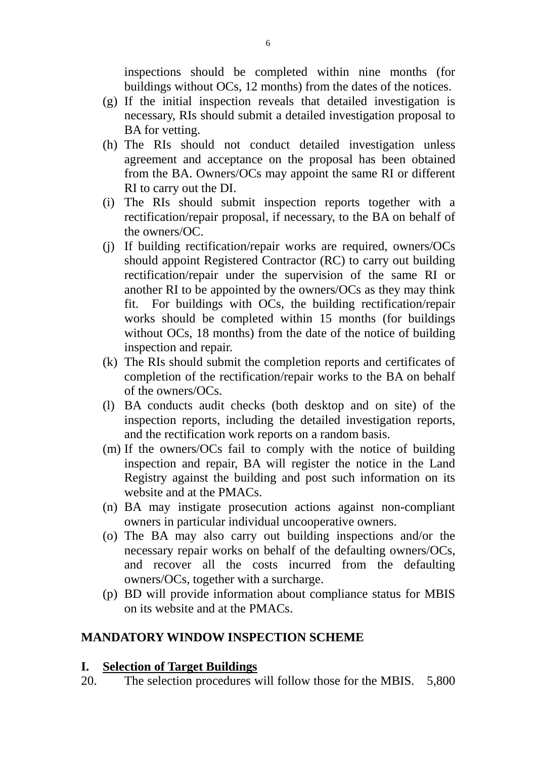inspections should be completed within nine months (for buildings without OCs, 12 months) from the dates of the notices.

- (g) If the initial inspection reveals that detailed investigation is necessary, RIs should submit a detailed investigation proposal to BA for vetting.
- (h) The RIs should not conduct detailed investigation unless agreement and acceptance on the proposal has been obtained from the BA. Owners/OCs may appoint the same RI or different RI to carry out the DI.
- (i) The RIs should submit inspection reports together with a rectification/repair proposal, if necessary, to the BA on behalf of the owners/OC.
- (j) If building rectification/repair works are required, owners/OCs should appoint Registered Contractor (RC) to carry out building rectification/repair under the supervision of the same RI or another RI to be appointed by the owners/OCs as they may think fit. For buildings with OCs, the building rectification/repair works should be completed within 15 months (for buildings without OCs, 18 months) from the date of the notice of building inspection and repair.
- (k) The RIs should submit the completion reports and certificates of completion of the rectification/repair works to the BA on behalf of the owners/OCs.
- (l) BA conducts audit checks (both desktop and on site) of the inspection reports, including the detailed investigation reports, and the rectification work reports on a random basis.
- (m) If the owners/OCs fail to comply with the notice of building inspection and repair, BA will register the notice in the Land Registry against the building and post such information on its website and at the PMACs.
- (n) BA may instigate prosecution actions against non-compliant owners in particular individual uncooperative owners.
- (o) The BA may also carry out building inspections and/or the necessary repair works on behalf of the defaulting owners/OCs, and recover all the costs incurred from the defaulting owners/OCs, together with a surcharge.
- (p) BD will provide information about compliance status for MBIS on its website and at the PMACs.

#### **MANDATORY WINDOW INSPECTION SCHEME**

#### **I. Selection of Target Buildings**

20. The selection procedures will follow those for the MBIS. 5,800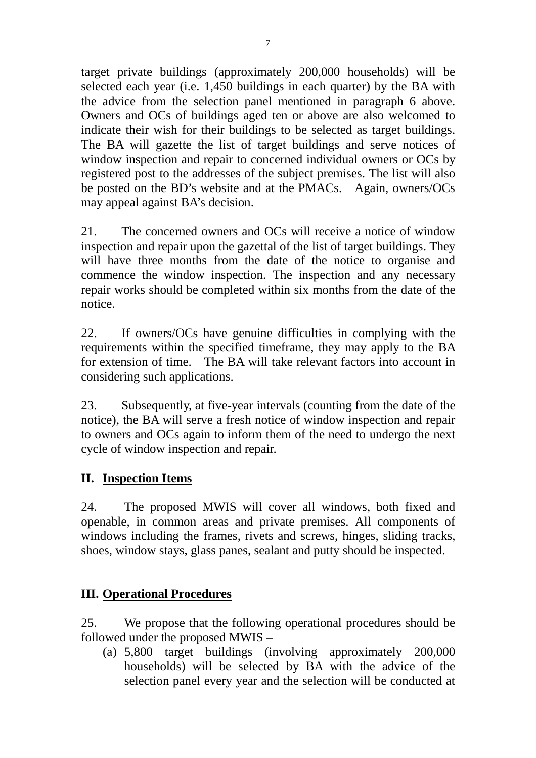target private buildings (approximately 200,000 households) will be selected each year (i.e. 1,450 buildings in each quarter) by the BA with the advice from the selection panel mentioned in paragraph 6 above. Owners and OCs of buildings aged ten or above are also welcomed to indicate their wish for their buildings to be selected as target buildings. The BA will gazette the list of target buildings and serve notices of window inspection and repair to concerned individual owners or OCs by registered post to the addresses of the subject premises. The list will also be posted on the BD's website and at the PMACs. Again, owners/OCs may appeal against BA's decision.

21. The concerned owners and OCs will receive a notice of window inspection and repair upon the gazettal of the list of target buildings. They will have three months from the date of the notice to organise and commence the window inspection. The inspection and any necessary repair works should be completed within six months from the date of the notice.

22. If owners/OCs have genuine difficulties in complying with the requirements within the specified timeframe, they may apply to the BA for extension of time. The BA will take relevant factors into account in considering such applications.

23. Subsequently, at five-year intervals (counting from the date of the notice), the BA will serve a fresh notice of window inspection and repair to owners and OCs again to inform them of the need to undergo the next cycle of window inspection and repair.

# **II. Inspection Items**

24. The proposed MWIS will cover all windows, both fixed and openable, in common areas and private premises. All components of windows including the frames, rivets and screws, hinges, sliding tracks, shoes, window stays, glass panes, sealant and putty should be inspected.

## **III. Operational Procedures**

25. We propose that the following operational procedures should be followed under the proposed MWIS –

(a) 5,800 target buildings (involving approximately 200,000 households) will be selected by BA with the advice of the selection panel every year and the selection will be conducted at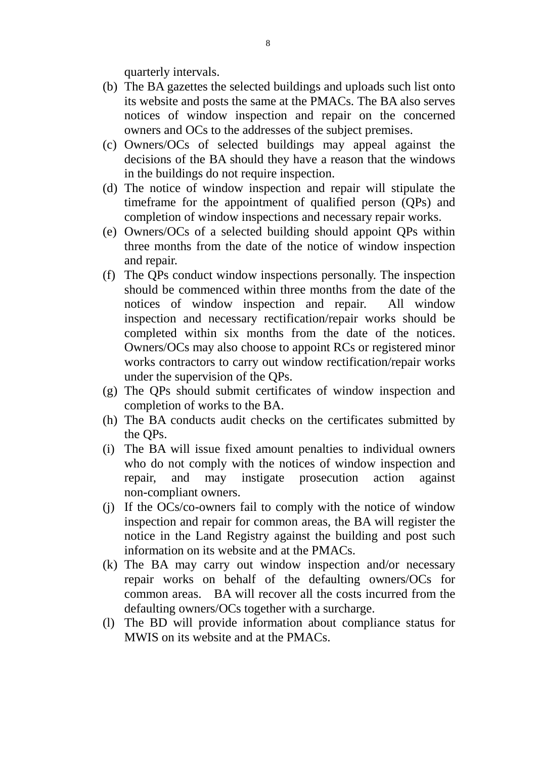quarterly intervals.

- (b) The BA gazettes the selected buildings and uploads such list onto its website and posts the same at the PMACs. The BA also serves notices of window inspection and repair on the concerned owners and OCs to the addresses of the subject premises.
- (c) Owners/OCs of selected buildings may appeal against the decisions of the BA should they have a reason that the windows in the buildings do not require inspection.
- (d) The notice of window inspection and repair will stipulate the timeframe for the appointment of qualified person (QPs) and completion of window inspections and necessary repair works.
- (e) Owners/OCs of a selected building should appoint QPs within three months from the date of the notice of window inspection and repair.
- (f) The QPs conduct window inspections personally. The inspection should be commenced within three months from the date of the notices of window inspection and repair. All window inspection and necessary rectification/repair works should be completed within six months from the date of the notices. Owners/OCs may also choose to appoint RCs or registered minor works contractors to carry out window rectification/repair works under the supervision of the QPs.
- (g) The QPs should submit certificates of window inspection and completion of works to the BA.
- (h) The BA conducts audit checks on the certificates submitted by the QPs.
- (i) The BA will issue fixed amount penalties to individual owners who do not comply with the notices of window inspection and repair, and may instigate prosecution action against non-compliant owners.
- (j) If the OCs/co-owners fail to comply with the notice of window inspection and repair for common areas, the BA will register the notice in the Land Registry against the building and post such information on its website and at the PMACs.
- (k) The BA may carry out window inspection and/or necessary repair works on behalf of the defaulting owners/OCs for common areas. BA will recover all the costs incurred from the defaulting owners/OCs together with a surcharge.
- (l) The BD will provide information about compliance status for MWIS on its website and at the PMACs.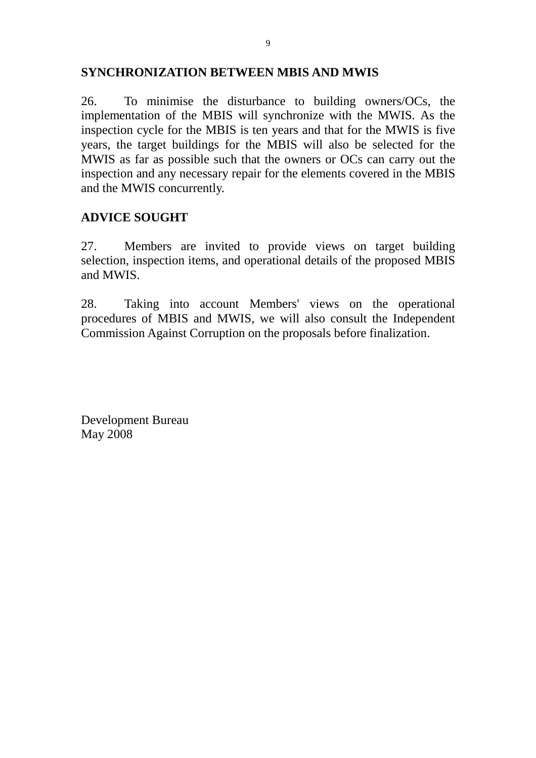### **SYNCHRONIZATION BETWEEN MBIS AND MWIS**

26. To minimise the disturbance to building owners/OCs, the implementation of the MBIS will synchronize with the MWIS. As the inspection cycle for the MBIS is ten years and that for the MWIS is five years, the target buildings for the MBIS will also be selected for the MWIS as far as possible such that the owners or OCs can carry out the inspection and any necessary repair for the elements covered in the MBIS and the MWIS concurrently.

## **ADVICE SOUGHT**

27. Members are invited to provide views on target building selection, inspection items, and operational details of the proposed MBIS and MWIS.

28. Taking into account Members' views on the operational procedures of MBIS and MWIS, we will also consult the Independent Commission Against Corruption on the proposals before finalization.

Development Bureau May 2008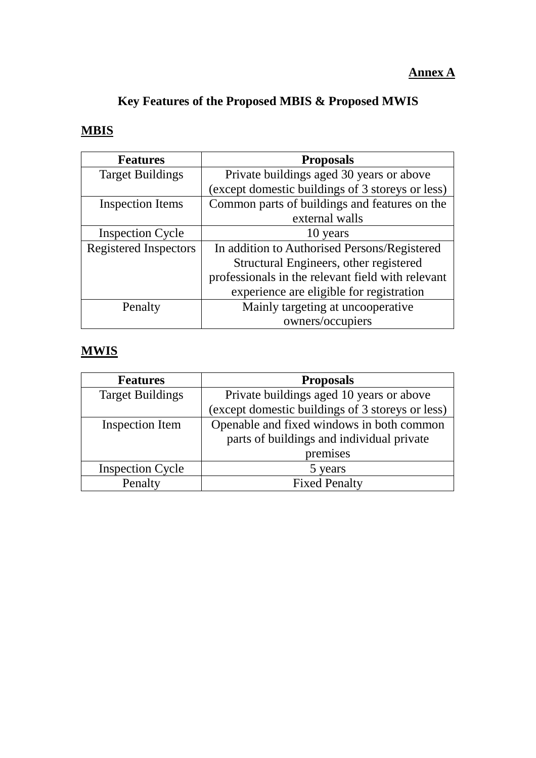# **Key Features of the Proposed MBIS & Proposed MWIS**

# **MBIS**

| <b>Features</b>              | <b>Proposals</b>                                  |  |
|------------------------------|---------------------------------------------------|--|
| <b>Target Buildings</b>      | Private buildings aged 30 years or above          |  |
|                              | (except domestic buildings of 3 storeys or less)  |  |
| <b>Inspection Items</b>      | Common parts of buildings and features on the     |  |
|                              | external walls                                    |  |
| <b>Inspection Cycle</b>      | 10 years                                          |  |
| <b>Registered Inspectors</b> | In addition to Authorised Persons/Registered      |  |
|                              | Structural Engineers, other registered            |  |
|                              | professionals in the relevant field with relevant |  |
|                              | experience are eligible for registration          |  |
| Penalty                      | Mainly targeting at uncooperative                 |  |
|                              | owners/occupiers                                  |  |

# **MWIS**

| <b>Features</b>         | <b>Proposals</b>                                 |  |
|-------------------------|--------------------------------------------------|--|
| <b>Target Buildings</b> | Private buildings aged 10 years or above         |  |
|                         | (except domestic buildings of 3 storeys or less) |  |
| <b>Inspection Item</b>  | Openable and fixed windows in both common        |  |
|                         | parts of buildings and individual private        |  |
|                         | premises                                         |  |
| <b>Inspection Cycle</b> | 5 years                                          |  |
| Penalty                 | <b>Fixed Penalty</b>                             |  |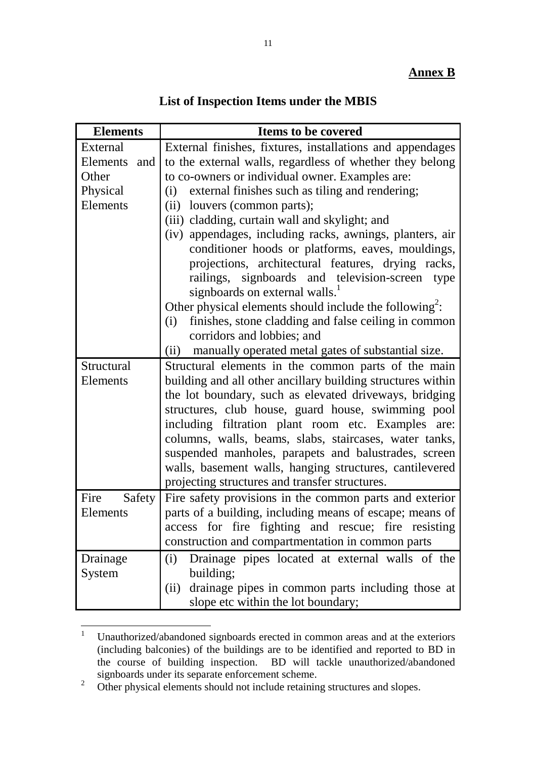| List of Inspection Items under the MBIS |  |  |  |  |
|-----------------------------------------|--|--|--|--|
|-----------------------------------------|--|--|--|--|

| <b>Elements</b> | <b>Items to be covered</b>                                          |
|-----------------|---------------------------------------------------------------------|
| External        | External finishes, fixtures, installations and appendages           |
| Elements and    | to the external walls, regardless of whether they belong            |
| Other           | to co-owners or individual owner. Examples are:                     |
| Physical        | external finishes such as tiling and rendering;<br>(i)              |
| Elements        | louvers (common parts);<br>(ii)                                     |
|                 | (iii) cladding, curtain wall and skylight; and                      |
|                 | (iv) appendages, including racks, awnings, planters, air            |
|                 | conditioner hoods or platforms, eaves, mouldings,                   |
|                 | projections, architectural features, drying racks,                  |
|                 | railings, signboards and television-screen type                     |
|                 | signboards on external walls. <sup>1</sup>                          |
|                 | Other physical elements should include the following <sup>2</sup> : |
|                 | finishes, stone cladding and false ceiling in common<br>(i)         |
|                 | corridors and lobbies; and                                          |
|                 | manually operated metal gates of substantial size.<br>(ii)          |
| Structural      | Structural elements in the common parts of the main                 |
| Elements        | building and all other ancillary building structures within         |
|                 | the lot boundary, such as elevated driveways, bridging              |
|                 | structures, club house, guard house, swimming pool                  |
|                 | including filtration plant room etc. Examples<br>are:               |
|                 | columns, walls, beams, slabs, staircases, water tanks,              |
|                 | suspended manholes, parapets and balustrades, screen                |
|                 | walls, basement walls, hanging structures, cantilevered             |
|                 | projecting structures and transfer structures.                      |
| Fire            | Safety Fire safety provisions in the common parts and exterior      |
| Elements        | parts of a building, including means of escape; means of            |
|                 | access for fire fighting and rescue; fire resisting                 |
|                 | construction and compartmentation in common parts                   |
| Drainage        | Drainage pipes located at external walls of the<br>(i)              |
| System          | building;                                                           |
|                 | drainage pipes in common parts including those at<br>(i)            |
|                 | slope etc within the lot boundary;                                  |

 $\frac{1}{1}$  Unauthorized/abandoned signboards erected in common areas and at the exteriors (including balconies) of the buildings are to be identified and reported to BD in the course of building inspection. BD will tackle unauthorized/abandoned signboards under its separate enforcement scheme.

<sup>2</sup> Other physical elements should not include retaining structures and slopes.